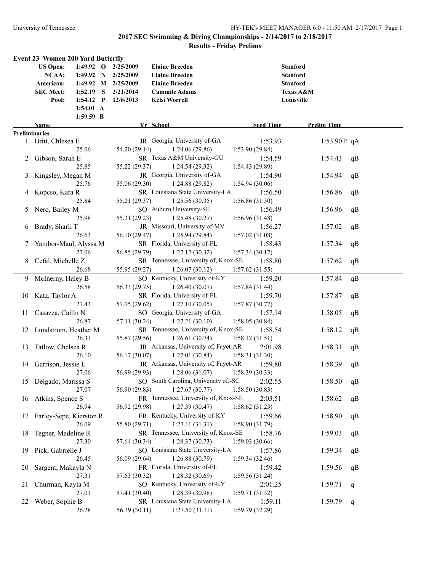|          | <b>Event 23 Women 200 Yard Butterfly</b> |                     |                     |                                                |                           |                      |    |
|----------|------------------------------------------|---------------------|---------------------|------------------------------------------------|---------------------------|----------------------|----|
|          | <b>US Open:</b>                          |                     | 1:49.92 O 2/25/2009 | <b>Elaine Breeden</b>                          |                           | <b>Stanford</b>      |    |
|          | NCAA:                                    |                     | 1:49.92 N 2/25/2009 | <b>Elaine Breeden</b>                          |                           | <b>Stanford</b>      |    |
|          | American:                                |                     | 1:49.92 M 2/25/2009 | <b>Elaine Breeden</b>                          |                           | <b>Stanford</b>      |    |
|          | <b>SEC Meet:</b>                         |                     | 1:52.19 S 2/21/2014 | <b>Cammile Adams</b>                           |                           | <b>Texas A&amp;M</b> |    |
|          | Pool:                                    | $1:54.12$ P         | 12/6/2013           | Kelsi Worrell                                  |                           | Louisville           |    |
|          |                                          | $1:54.01 \text{ A}$ |                     |                                                |                           |                      |    |
|          |                                          | 1:59.59 B           |                     |                                                |                           |                      |    |
|          | Name                                     |                     |                     | Yr School                                      | <b>Seed Time</b>          | <b>Prelim Time</b>   |    |
|          | <b>Preliminaries</b>                     |                     |                     |                                                |                           |                      |    |
|          | 1 Britt, Chlesea E                       |                     |                     | JR Georgia, University of-GA                   | 1:53.93                   | 1:53.90 $P$ qA       |    |
|          |                                          | 25.06               | 54.20 (29.14)       | 1:24.06(29.86)                                 | 1:53.90(29.84)            |                      |    |
| 2        | Gibson, Sarah E                          |                     |                     | SR Texas A&M University-GU                     | 1:54.59                   | 1:54.43              | qB |
|          |                                          | 25.85               | 55.22 (29.37)       | 1:24.54(29.32)                                 | 1:54.43 (29.89)           |                      |    |
| 3        | Kingsley, Megan M                        |                     |                     | JR Georgia, University of-GA                   | 1:54.90                   | 1:54.94              | qB |
|          |                                          | 25.76               | 55.06 (29.30)       | 1:24.88(29.82)                                 | 1:54.94(30.06)            |                      |    |
| 4        | Kopcso, Kara R                           |                     |                     | SR Louisiana State University-LA               | 1:56.50                   | 1:56.86              | qB |
|          |                                          | 25.84               | 55.21 (29.37)       | 1:25.56(30.35)                                 | 1:56.86(31.30)            |                      |    |
| 5        | Nero, Bailey M                           |                     |                     | SO Auburn University-SE                        | 1:56.49                   | 1:56.96              | qB |
|          |                                          | 25.98               | 55.21 (29.23)       | 1:25.48(30.27)                                 | 1:56.96(31.48)            |                      |    |
| $\sigma$ | Brady, Sharli T                          |                     |                     | JR Missouri, University of-MV                  | 1:56.27                   | 1:57.02              | qB |
|          |                                          | 26.63               | 56.10 (29.47)       | 1:25.94(29.84)                                 | 1:57.02(31.08)            |                      |    |
|          | Yambor-Maul, Alyssa M                    |                     |                     | SR Florida, University of-FL                   | 1:58.43                   | 1:57.34              | qB |
|          |                                          | 27.06               | 56.85 (29.79)       | 1:27.17(30.32)                                 | 1:57.34(30.17)            |                      |    |
| 8.       | Cefal, Michelle Z                        |                     |                     | SR Tennessee, University of, Knox-SE           | 1:58.80                   | 1:57.62              | qB |
|          |                                          | 26.68               | 55.95 (29.27)       | 1:26.07(30.12)                                 | 1:57.62(31.55)            |                      |    |
|          | 9 McInerny, Haley B                      |                     |                     | SO Kentucky, University of-KY                  | 1:59.20                   | 1:57.84              | qB |
|          |                                          | 26.58               | 56.33 (29.75)       | 1:26.40(30.07)                                 | 1:57.84(31.44)            |                      |    |
|          | 10 Katz, Taylor A                        | 27.43               | 57.05 (29.62)       | SR Florida, University of-FL<br>1:27.10(30.05) | 1:59.70                   | 1:57.87              | qB |
| 11.      | Casazza, Caitln N                        |                     |                     | SO Georgia, University of-GA                   | 1:57.87(30.77)<br>1:57.14 | 1:58.05              | qB |
|          |                                          | 26.87               | 57.11 (30.24)       | 1:27.21(30.10)                                 | 1:58.05(30.84)            |                      |    |
|          | 12 Lundstrom, Heather M                  |                     |                     | SR Tennessee, University of, Knox-SE           | 1:58.54                   | 1:58.12              | qB |
|          |                                          | 26.31               | 55.87 (29.56)       | 1:26.61(30.74)                                 | 1:58.12(31.51)            |                      |    |
| 13       | Tatlow, Chelsea R                        |                     |                     | JR Arkansas, University of, Fayet-AR           | 2:01.98                   | 1:58.31              | qB |
|          |                                          | 26.10               | 56.17 (30.07)       | 1:27.01(30.84)                                 | 1:58.31(31.30)            |                      |    |
|          | 14 Garrison, Jessie L                    |                     |                     | JR Arkansas, University of, Fayet-AR           | 1:59.80                   | 1:58.39              | qB |
|          |                                          | 27.06               | 56.99 (29.93)       | 1:28.06(31.07)                                 | 1:58.39(30.33)            |                      |    |
|          | 15 Delgado, Marissa S                    |                     |                     | SO South Carolina, University of,-SC           | 2:02.55                   | 1:58.50              | qB |
|          |                                          | 27.07               | 56.90 (29.83)       | 1:27.67(30.77)                                 | 1:58.50(30.83)            |                      |    |
| 16       | Atkins, Spence S                         |                     |                     | FR Tennessee, University of, Knox-SE           | 2:03.51                   | 1:58.62              | qB |
|          |                                          | 26.94               | 56.92 (29.98)       | 1:27.39(30.47)                                 | 1:58.62(31.23)            |                      |    |
| 17       | Farley-Sepe, Kierston R                  |                     |                     | FR Kentucky, University of-KY                  | 1:59.66                   | 1:58.90              | qB |
|          |                                          | 26.09               | 55.80 (29.71)       | 1:27.11(31.31)                                 | 1:58.90 (31.79)           |                      |    |
| 18       | Tegner, Madeline R                       |                     |                     | SR Tennessee, University of, Knox-SE           | 1:58.76                   | 1:59.03              | qB |
|          |                                          | 27.30               | 57.64 (30.34)       | 1:28.37(30.73)                                 | 1:59.03(30.66)            |                      |    |
| 19       | Pick, Gabrielle J                        |                     |                     | SO Louisiana State University-LA               | 1:57.86                   | 1:59.34              | qB |
|          |                                          | 26.45               | 56.09 (29.64)       | 1:26.88(30.79)                                 | 1:59.34 (32.46)           |                      |    |
| 20       | Sargent, Makayla N                       |                     |                     | FR Florida, University of-FL                   | 1:59.42                   | 1:59.56              | qB |
|          |                                          | 27.31               | 57.63 (30.32)       | 1:28.32(30.69)                                 | 1:59.56(31.24)            |                      |    |
| 21       | Churman, Kayla M                         |                     |                     | SO Kentucky, University of-KY                  | 2:01.25                   | 1:59.71              | q  |
|          |                                          | 27.01               | 57.41 (30.40)       | 1:28.39(30.98)                                 | 1:59.71(31.32)            |                      |    |
| 22       | Weber, Sophie B                          |                     |                     | SR Louisiana State University-LA               | 1:59.11                   | 1:59.79              | q  |
|          |                                          | 26.28               | 56.39 (30.11)       | 1:27.50(31.11)                                 | 1:59.79 (32.29)           |                      |    |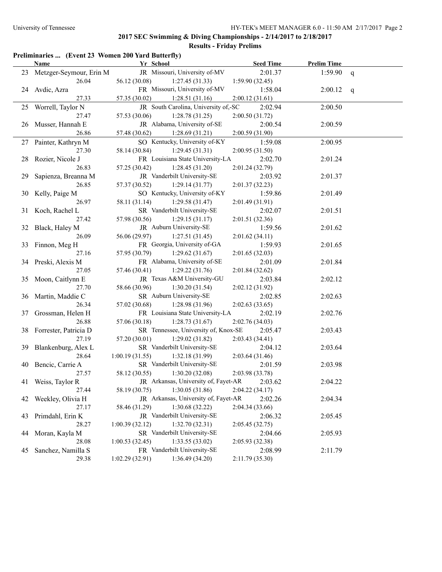## **Preliminaries ... (Event 23 Women 200 Yard Butterfly)**

|    | Name                       | Yr School                                    | <b>Seed Time</b> | <b>Prelim Time</b> |   |
|----|----------------------------|----------------------------------------------|------------------|--------------------|---|
|    | 23 Metzger-Seymour, Erin M | JR Missouri, University of-MV                | 2:01.37          | 1:59.90            | q |
|    | 26.04                      | 56.12 (30.08)<br>1:27.45(31.33)              | 1:59.90(32.45)   |                    |   |
| 24 | Avdic, Azra                | FR Missouri, University of-MV                | 1:58.04          | 2:00.12            | q |
|    | 27.33                      | 57.35 (30.02)<br>1:28.51(31.16)              | 2:00.12(31.61)   |                    |   |
|    | 25 Worrell, Taylor N       | JR South Carolina, University of,-SC         | 2:02.94          | 2:00.50            |   |
|    | 27.47                      | 1:28.78(31.25)<br>57.53 (30.06)              | 2:00.50(31.72)   |                    |   |
| 26 | Musser, Hannah E           | JR Alabama, University of-SE                 | 2:00.54          | 2:00.59            |   |
|    | 26.86                      | 57.48 (30.62)<br>1:28.69(31.21)              | 2:00.59(31.90)   |                    |   |
| 27 | Painter, Kathryn M         | SO Kentucky, University of-KY                | 1:59.08          | 2:00.95            |   |
|    | 27.30                      | 58.14 (30.84)<br>1:29.45(31.31)              | 2:00.95(31.50)   |                    |   |
| 28 | Rozier, Nicole J           | FR Louisiana State University-LA             | 2:02.70          | 2:01.24            |   |
|    | 26.83                      | 57.25 (30.42)<br>1:28.45(31.20)              | 2:01.24 (32.79)  |                    |   |
| 29 | Sapienza, Breanna M        | JR Vanderbilt University-SE                  | 2:03.92          | 2:01.37            |   |
|    | 26.85                      | 57.37 (30.52)<br>1:29.14(31.77)              | 2:01.37(32.23)   |                    |   |
| 30 | Kelly, Paige M             | SO Kentucky, University of-KY                | 1:59.86          | 2:01.49            |   |
|    | 26.97                      | 58.11 (31.14)<br>1:29.58(31.47)              | 2:01.49(31.91)   |                    |   |
|    | 31 Koch, Rachel L          | SR Vanderbilt University-SE                  | 2:02.07          | 2:01.51            |   |
|    | 27.42                      | 57.98 (30.56)<br>1:29.15(31.17)              | 2:01.51(32.36)   |                    |   |
|    | 32 Black, Haley M          | JR Auburn University-SE                      | 1:59.56          | 2:01.62            |   |
|    | 26.09                      | 56.06 (29.97)<br>1:27.51(31.45)              | 2:01.62(34.11)   |                    |   |
|    | 33 Finnon, Meg H           | FR Georgia, University of-GA                 | 1:59.93          | 2:01.65            |   |
|    | 27.16                      | 57.95 (30.79)<br>1:29.62(31.67)              | 2:01.65(32.03)   |                    |   |
|    | 34 Preski, Alexis M        | FR Alabama, University of-SE                 | 2:01.09          | 2:01.84            |   |
|    | 27.05                      | 57.46 (30.41)<br>1:29.22(31.76)              | 2:01.84(32.62)   |                    |   |
|    | 35 Moon, Caitlynn E        | JR Texas A&M University-GU                   | 2:03.84          | 2:02.12            |   |
|    | 27.70                      | 58.66 (30.96)<br>1:30.20(31.54)              | 2:02.12(31.92)   |                    |   |
|    | 36 Martin, Maddie C        | SR Auburn University-SE                      | 2:02.85          | 2:02.63            |   |
|    | 26.34                      | 57.02 (30.68)<br>1:28.98(31.96)              | 2:02.63(33.65)   |                    |   |
| 37 | Grossman, Helen H          | FR Louisiana State University-LA             | 2:02.19          | 2:02.76            |   |
|    | 26.88                      | 57.06 (30.18)<br>1:28.73(31.67)              | 2:02.76 (34.03)  |                    |   |
|    | 38 Forrester, Patricia D   | SR Tennessee, University of, Knox-SE         | 2:05.47          | 2:03.43            |   |
|    | 27.19                      | 57.20 (30.01)<br>1:29.02(31.82)              | 2:03.43 (34.41)  |                    |   |
|    | 39 Blankenburg, Alex L     | SR Vanderbilt University-SE                  | 2:04.12          | 2:03.64            |   |
|    | 28.64                      | 1:00.19(31.55)<br>1:32.18(31.99)             | 2:03.64(31.46)   |                    |   |
| 40 | Bencic, Carrie A           | SR Vanderbilt University-SE                  | 2:01.59          | 2:03.98            |   |
|    | 27.57                      | 58.12 (30.55)<br>1:30.20(32.08)              | 2:03.98 (33.78)  |                    |   |
|    | 41 Weiss, Taylor R         | JR Arkansas, University of, Fayet-AR 2:03.62 |                  | 2:04.22            |   |
|    | 27.44                      | 1:30.05(31.86)<br>58.19 (30.75)              | 2:04.22(34.17)   |                    |   |
| 42 | Weekley, Olivia H          | JR Arkansas, University of, Fayet-AR         | 2:02.26          | 2:04.34            |   |
|    | 27.17                      | 58.46 (31.29)<br>1:30.68(32.22)              | 2:04.34(33.66)   |                    |   |
| 43 | Primdahl, Erin K           | JR Vanderbilt University-SE                  | 2:06.32          | 2:05.45            |   |
|    | 28.27                      | 1:32.70(32.31)<br>1:00.39(32.12)             | 2:05.45(32.75)   |                    |   |
| 44 | Moran, Kayla M             | SR Vanderbilt University-SE                  | 2:04.66          | 2:05.93            |   |
|    | 28.08                      | 1:33.55(33.02)<br>1:00.53(32.45)             | 2:05.93 (32.38)  |                    |   |
| 45 | Sanchez, Namilla S         | FR Vanderbilt University-SE                  | 2:08.99          | 2:11.79            |   |
|    | 29.38                      | 1:36.49(34.20)<br>1:02.29(32.91)             | 2:11.79(35.30)   |                    |   |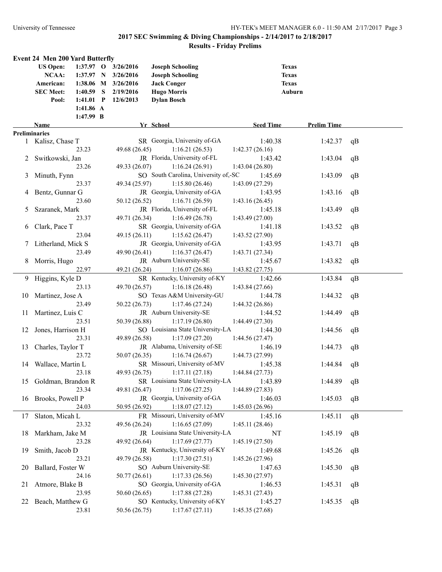|               | <b>Event 24 Men 200 Yard Butterfly</b> |             |                     |                                      |                  |                    |    |
|---------------|----------------------------------------|-------------|---------------------|--------------------------------------|------------------|--------------------|----|
|               | <b>US Open:</b>                        | $1:37.97$ O | 3/26/2016           | <b>Joseph Schooling</b>              |                  | <b>Texas</b>       |    |
|               | NCAA:                                  | 1:37.97 N   | 3/26/2016           | <b>Joseph Schooling</b>              |                  | <b>Texas</b>       |    |
|               | American:                              |             | 1:38.06 M 3/26/2016 | <b>Jack Conger</b>                   |                  | <b>Texas</b>       |    |
|               | <b>SEC Meet:</b>                       | $1:40.59$ S | 2/19/2016           | <b>Hugo Morris</b>                   |                  | Auburn             |    |
|               | Pool:                                  | $1:41.01$ P | 12/6/2013           | <b>Dylan Bosch</b>                   |                  |                    |    |
|               |                                        | 1:41.86 A   |                     |                                      |                  |                    |    |
|               |                                        | 1:47.99 B   |                     |                                      |                  |                    |    |
|               | Name                                   |             |                     | Yr School                            | <b>Seed Time</b> | <b>Prelim Time</b> |    |
|               | Preliminaries                          |             |                     |                                      |                  |                    |    |
|               | 1 Kalisz, Chase T                      |             |                     | SR Georgia, University of-GA         | 1:40.38          | 1:42.37            | qB |
|               |                                        | 23.23       | 49.68 (26.45)       | 1:16.21(26.53)                       | 1:42.37(26.16)   |                    |    |
|               | Switkowski, Jan                        |             |                     | JR Florida, University of-FL         | 1:43.42          | 1:43.04            | qB |
|               |                                        | 23.26       | 49.33 (26.07)       | 1:16.24(26.91)                       | 1:43.04(26.80)   |                    |    |
| 3             | Minuth, Fynn                           |             |                     | SO South Carolina, University of,-SC | 1:45.69          | 1:43.09            | qB |
|               |                                        | 23.37       | 49.34 (25.97)       | 1:15.80(26.46)                       | 1:43.09(27.29)   |                    |    |
|               | 4 Bentz, Gunnar G                      |             |                     | JR Georgia, University of-GA         | 1:43.95          | 1:43.16            | qB |
|               |                                        | 23.60       | 50.12 (26.52)       | 1:16.71(26.59)                       | 1:43.16(26.45)   |                    |    |
| $\mathcal{L}$ | Szaranek, Mark                         |             |                     | JR Florida, University of-FL         | 1:45.18          | 1:43.49            | qB |
|               |                                        | 23.37       | 49.71 (26.34)       | 1:16.49(26.78)                       | 1:43.49(27.00)   |                    |    |
| 6             | Clark, Pace T                          |             |                     | SR Georgia, University of-GA         | 1:41.18          | 1:43.52            | qB |
|               |                                        | 23.04       | 49.15 (26.11)       | 1:15.62(26.47)                       | 1:43.52(27.90)   |                    |    |
|               | 7 Litherland, Mick S                   |             |                     | JR Georgia, University of-GA         | 1:43.95          | 1:43.71            | qB |
|               |                                        | 23.49       | 49.90 (26.41)       | 1:16.37(26.47)                       | 1:43.71(27.34)   |                    |    |
| 8             | Morris, Hugo                           |             |                     | JR Auburn University-SE              | 1:45.67          | 1:43.82            | qB |
|               |                                        | 22.97       | 49.21 (26.24)       | 1:16.07(26.86)                       | 1:43.82(27.75)   |                    |    |
|               | 9 Higgins, Kyle D                      |             |                     | SR Kentucky, University of-KY        | 1:42.66          | 1:43.84            | qB |
|               |                                        | 23.13       | 49.70 (26.57)       | 1:16.18(26.48)                       | 1:43.84(27.66)   |                    |    |
|               | 10 Martinez, Jose A                    |             |                     | SO Texas A&M University-GU           | 1:44.78          | 1:44.32            | qB |
|               |                                        | 23.49       | 50.22(26.73)        | 1:17.46(27.24)                       | 1:44.32(26.86)   |                    |    |
| 11            | Martinez, Luis C                       |             |                     | JR Auburn University-SE              | 1:44.52          | 1:44.49            | qB |
|               |                                        | 23.51       | 50.39 (26.88)       | 1:17.19(26.80)                       | 1:44.49(27.30)   |                    |    |
| 12            | Jones, Harrison H                      |             |                     | SO Louisiana State University-LA     | 1:44.30          | 1:44.56            | qB |
|               |                                        | 23.31       | 49.89 (26.58)       | 1:17.09(27.20)                       | 1:44.56(27.47)   |                    |    |
| 13            | Charles, Taylor T                      |             |                     | JR Alabama, University of-SE         | 1:46.19          | 1:44.73            | qB |
|               |                                        | 23.72       | 50.07(26.35)        | 1:16.74(26.67)                       | 1:44.73 (27.99)  |                    |    |
|               | 14 Wallace, Martin L                   |             |                     | SR Missouri, University of-MV        | 1:45.38          | 1:44.84            | qB |
|               |                                        | 23.18       | 49.93 (26.75)       | 1:17.11(27.18)                       | 1:44.84(27.73)   |                    |    |
|               | 15 Goldman, Brandon R                  |             |                     | SR Louisiana State University-LA     | 1:43.89          | 1:44.89            | qB |
|               |                                        | 23.34       | 49.81 (26.47)       | 1:17.06(27.25)                       | 1:44.89(27.83)   |                    |    |
|               | 16 Brooks, Powell P                    |             |                     | JR Georgia, University of-GA         | 1:46.03          | 1:45.03            | qB |
|               |                                        | 24.03       | 50.95 (26.92)       | 1:18.07(27.12)                       | 1:45.03(26.96)   |                    |    |
| 17            | Slaton, Micah L                        |             |                     | FR Missouri, University of-MV        | 1:45.16          | 1:45.11            | qB |
|               |                                        | 23.32       | 49.56 (26.24)       | 1:16.65(27.09)                       | 1:45.11 (28.46)  |                    |    |
| 18            | Markham, Jake M                        |             |                     | JR Louisiana State University-LA     | NT               | 1:45.19            | qB |
|               |                                        | 23.28       | 49.92 (26.64)       | 1:17.69(27.77)                       | 1:45.19(27.50)   |                    |    |
| 19            | Smith, Jacob D                         |             |                     | JR Kentucky, University of-KY        | 1:49.68          | 1:45.26            | qB |
|               |                                        | 23.21       | 49.79 (26.58)       | 1:17.30(27.51)                       | 1:45.26(27.96)   |                    |    |
| 20            | Ballard, Foster W                      |             |                     | SO Auburn University-SE              | 1:47.63          | 1:45.30            | qB |
|               |                                        | 24.16       | 50.77(26.61)        | 1:17.33(26.56)                       | 1:45.30(27.97)   |                    |    |
| 21            | Atmore, Blake B                        |             |                     | SO Georgia, University of-GA         | 1:46.53          | 1:45.31            | qB |
|               |                                        | 23.95       | 50.60(26.65)        | 1:17.88(27.28)                       | 1:45.31(27.43)   |                    |    |
| 22            | Beach, Matthew G                       |             |                     | SO Kentucky, University of-KY        | 1:45.27          | 1:45.35            |    |
|               |                                        | 23.81       | 50.56 (26.75)       | 1:17.67(27.11)                       | 1:45.35(27.68)   |                    | qB |
|               |                                        |             |                     |                                      |                  |                    |    |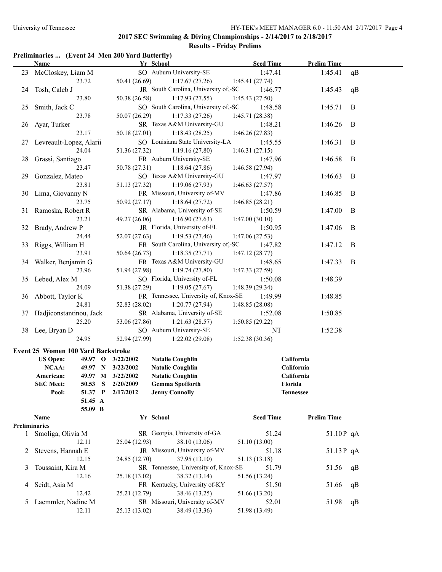|    | Preliminaries  (Event 24 Men 200 Yard Butterfly) |                   |                                      |                  |                    |    |
|----|--------------------------------------------------|-------------------|--------------------------------------|------------------|--------------------|----|
|    | Name                                             |                   | Yr School                            | <b>Seed Time</b> | <b>Prelim Time</b> |    |
| 23 | McCloskey, Liam M                                |                   | SO Auburn University-SE              | 1:47.41          | 1:45.41            | qB |
|    | 23.72                                            | 50.41 (26.69)     | 1:17.67(27.26)                       | 1:45.41(27.74)   |                    |    |
| 24 | Tosh, Caleb J                                    |                   | JR South Carolina, University of,-SC | 1:46.77          | 1:45.43            | qB |
|    | 23.80                                            | 50.38 (26.58)     | 1:17.93(27.55)                       | 1:45.43(27.50)   |                    |    |
| 25 | Smith, Jack C                                    |                   | SO South Carolina, University of,-SC | 1:48.58          | 1:45.71            | B  |
|    | 23.78                                            | 50.07 (26.29)     | 1:17.33(27.26)                       | 1:45.71(28.38)   |                    |    |
| 26 | Ayar, Turker                                     |                   | SR Texas A&M University-GU           | 1:48.21          | 1:46.26            | B  |
|    | 23.17                                            | 50.18 (27.01)     | 1:18.43(28.25)                       | 1:46.26(27.83)   |                    |    |
| 27 | Levreault-Lopez, Alarii                          |                   | SO Louisiana State University-LA     | 1:45.55          | 1:46.31            | B  |
|    | 24.04                                            | 51.36 (27.32)     | 1:19.16(27.80)                       | 1:46.31(27.15)   |                    |    |
| 28 | Grassi, Santiago                                 |                   | FR Auburn University-SE              | 1:47.96          | 1:46.58            | B  |
|    | 23.47                                            | 50.78 (27.31)     | 1:18.64(27.86)                       | 1:46.58(27.94)   |                    |    |
| 29 | Gonzalez, Mateo                                  |                   | SO Texas A&M University-GU           | 1:47.97          | 1:46.63            | B  |
|    | 23.81                                            | 51.13 (27.32)     | 1:19.06(27.93)                       | 1:46.63(27.57)   |                    |    |
| 30 | Lima, Giovanny N                                 |                   | FR Missouri, University of-MV        | 1:47.86          | 1:46.85            | B  |
|    | 23.75                                            | 50.92 (27.17)     | 1:18.64(27.72)                       | 1:46.85(28.21)   |                    |    |
| 31 | Ramoska, Robert R                                |                   | SR Alabama, University of-SE         | 1:50.59          | 1:47.00            | B  |
|    | 23.21                                            | 49.27 (26.06)     | 1:16.90(27.63)                       | 1:47.00(30.10)   |                    |    |
| 32 | Brady, Andrew P                                  |                   | JR Florida, University of-FL         | 1:50.95          | 1:47.06            | B  |
|    | 24.44                                            | 52.07 (27.63)     | 1:19.53(27.46)                       | 1:47.06(27.53)   |                    |    |
| 33 | Riggs, William H                                 |                   | FR South Carolina, University of,-SC | 1:47.82          | 1:47.12            | B  |
|    | 23.91                                            | 50.64 (26.73)     | 1:18.35(27.71)                       | 1:47.12(28.77)   |                    |    |
| 34 | Walker, Benjamin G                               |                   | FR Texas A&M University-GU           | 1:48.65          | 1:47.33            | B  |
|    | 23.96                                            | 51.94 (27.98)     | 1:19.74(27.80)                       | 1:47.33(27.59)   |                    |    |
| 35 | Lebed, Alex M                                    |                   | SO Florida, University of-FL         | 1:50.08          | 1:48.39            |    |
|    | 24.09                                            | 51.38 (27.29)     | 1:19.05(27.67)                       | 1:48.39 (29.34)  |                    |    |
| 36 | Abbott, Taylor K                                 |                   | FR Tennessee, University of, Knox-SE | 1:49.99          | 1:48.85            |    |
|    | 24.81                                            | 52.83 (28.02)     | 1:20.77(27.94)                       | 1:48.85(28.08)   |                    |    |
| 37 | Hadjiconstantinou, Jack                          |                   | SR Alabama, University of-SE         | 1:52.08          | 1:50.85            |    |
|    | 25.20                                            | 53.06 (27.86)     | 1:21.63(28.57)                       | 1:50.85(29.22)   |                    |    |
|    | 38 Lee, Bryan D                                  |                   | SO Auburn University-SE              | NT               | 1:52.38            |    |
|    | 24.95                                            | 52.94 (27.99)     | 1:22.02(29.08)                       | 1:52.38(30.36)   |                    |    |
|    | Event 25 Women 100 Yard Backstroke               |                   |                                      |                  |                    |    |
|    | <b>US Open:</b><br>49.97 O                       | 3/22/2002         | <b>Natalie Coughlin</b>              |                  | California         |    |
|    | <b>NCAA:</b>                                     | 49.97 N 3/22/2002 | <b>Natalie Coughlin</b>              |                  | California         |    |
|    | American:<br>49.97 M                             | 3/22/2002         | <b>Natalie Coughlin</b>              |                  | California         |    |
|    | <b>SEC Meet:</b><br>50.53                        | 2/20/2009<br>S    | <b>Gemma Spofforth</b>               |                  | Florida            |    |
|    | Pool:<br>51.37 P                                 | 2/17/2012         | <b>Jenny Connolly</b>                |                  | <b>Tennessee</b>   |    |
|    | 51.45 A                                          |                   |                                      |                  |                    |    |
|    | 55.09 B                                          |                   |                                      |                  |                    |    |
|    | Name                                             |                   | Yr School                            | <b>Seed Time</b> | <b>Prelim Time</b> |    |
|    | <b>Preliminaries</b>                             |                   |                                      |                  |                    |    |
|    | 1 Smoliga, Olivia M                              |                   | SR Georgia, University of-GA         | 51.24            | 51.10P qA          |    |
|    | 12.11                                            | 25.04 (12.93)     | 38.10 (13.06)                        | 51.10 (13.00)    |                    |    |
| 2  | Stevens, Hannah E                                |                   | JR Missouri, University of-MV        | 51.18            | 51.13P qA          |    |
|    | 12.15                                            | 24.85 (12.70)     | 37.95 (13.10)                        | 51.13 (13.18)    |                    |    |
| 3  | Toussaint, Kira M                                |                   | SR Tennessee, University of, Knox-SE | 51.79            | 51.56              | qB |
|    | 12.16                                            | 25.18 (13.02)     | 38.32 (13.14)                        | 51.56 (13.24)    |                    |    |
| 4  | Seidt, Asia M                                    |                   | FR Kentucky, University of-KY        | 51.50            | 51.66              | qB |
|    | 12.42                                            | 25.21 (12.79)     | 38.46 (13.25)                        | 51.66 (13.20)    |                    |    |
| 5  | Laemmler, Nadine M                               |                   | SR Missouri, University of-MV        | 52.01            | 51.98              | qB |
|    | 12.11                                            | 25.13 (13.02)     | 38.49 (13.36)                        | 51.98 (13.49)    |                    |    |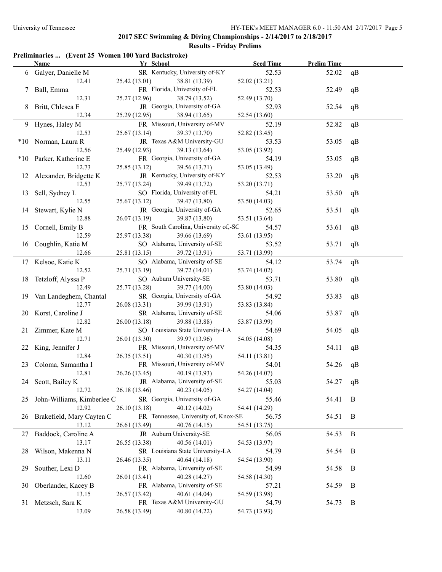## **Preliminaries ... (Event 25 Women 100 Yard Backstroke)**

|    | Name                             | Yr School                    |                                      | <b>Seed Time</b> | <b>Prelim Time</b> |          |
|----|----------------------------------|------------------------------|--------------------------------------|------------------|--------------------|----------|
|    | 6 Galyer, Danielle M             |                              | SR Kentucky, University of-KY        | 52.53            | 52.02              | qB       |
|    | 12.41                            | 25.42(13.01)                 | 38.81 (13.39)                        | 52.02 (13.21)    |                    |          |
|    | 7 Ball, Emma                     |                              | FR Florida, University of-FL         | 52.53            | 52.49              | qB       |
|    | 12.31                            | 25.27(12.96)                 | 38.79 (13.52)                        | 52.49 (13.70)    |                    |          |
|    | 8 Britt, Chlesea E               |                              | JR Georgia, University of-GA         | 52.93            | 52.54              | qB       |
|    | 12.34                            | 25.29 (12.95)                | 38.94 (13.65)                        | 52.54 (13.60)    |                    |          |
|    | 9 Hynes, Haley M                 |                              | FR Missouri, University of-MV        | 52.19            | 52.82              | qB       |
|    | 12.53                            | 25.67(13.14)                 | 39.37 (13.70)                        | 52.82 (13.45)    |                    |          |
|    | *10 Norman, Laura R              |                              | JR Texas A&M University-GU           | 53.53            | 53.05              | qB       |
|    | 12.56                            | 25.49 (12.93)                | 39.13 (13.64)                        | 53.05 (13.92)    |                    |          |
|    |                                  |                              | FR Georgia, University of-GA         | 54.19            | 53.05              |          |
|    | *10 Parker, Katherine E<br>12.73 | 25.85(13.12)                 |                                      |                  |                    | qB       |
|    |                                  |                              | 39.56 (13.71)                        | 53.05 (13.49)    |                    |          |
|    | 12 Alexander, Bridgette K        |                              | JR Kentucky, University of-KY        | 52.53            | 53.20              | qB       |
|    | 12.53                            | 25.77 (13.24)                | 39.49 (13.72)                        | 53.20 (13.71)    |                    |          |
|    | 13 Sell, Sydney L                |                              | SO Florida, University of-FL         | 54.21            | 53.50              | qB       |
|    | 12.55                            | 25.67(13.12)                 | 39.47 (13.80)                        | 53.50 (14.03)    |                    |          |
|    | 14 Stewart, Kylie N              |                              | JR Georgia, University of-GA         | 52.65            | 53.51              | qB       |
|    | 12.88                            | 26.07(13.19)                 | 39.87 (13.80)                        | 53.51 (13.64)    |                    |          |
|    | 15 Cornell, Emily B              |                              | FR South Carolina, University of,-SC | 54.57            | 53.61              | qB       |
|    | 12.59                            | 25.97 (13.38)                | 39.66 (13.69)                        | 53.61 (13.95)    |                    |          |
|    | 16 Coughlin, Katie M             |                              | SO Alabama, University of-SE         | 53.52            | 53.71              | qB       |
|    | 12.66                            | 25.81 (13.15)                | 39.72 (13.91)                        | 53.71 (13.99)    |                    |          |
|    | 17 Kelsoe, Katie K               |                              | SO Alabama, University of-SE         | 54.12            | 53.74              | qB       |
|    | 12.52                            | 25.71 (13.19)                | 39.72 (14.01)                        | 53.74 (14.02)    |                    |          |
|    | 18 Tetzloff, Alyssa P            | SO Auburn University-SE      |                                      | 53.71            | 53.80              | qB       |
|    | 12.49                            | 25.77 (13.28)                | 39.77 (14.00)                        | 53.80 (14.03)    |                    |          |
|    | 19 Van Landeghem, Chantal        |                              | SR Georgia, University of-GA         | 54.92            | 53.83              | qB       |
|    | 12.77                            | 26.08(13.31)                 | 39.99 (13.91)                        | 53.83 (13.84)    |                    |          |
|    | 20 Korst, Caroline J             |                              | SR Alabama, University of-SE         | 54.06            | 53.87              | qB       |
|    | 12.82                            | 26.00(13.18)                 | 39.88 (13.88)                        | 53.87 (13.99)    |                    |          |
| 21 | Zimmer, Kate M                   |                              | SO Louisiana State University-LA     | 54.69            | 54.05              | qB       |
|    | 12.71                            | 26.01 (13.30)                | 39.97 (13.96)                        | 54.05 (14.08)    |                    |          |
|    | 22 King, Jennifer J              |                              | FR Missouri, University of-MV        | 54.35            | 54.11              | qB       |
|    | 12.84                            | 26.35(13.51)                 | 40.30 (13.95)                        | 54.11 (13.81)    |                    |          |
|    | 23 Coloma, Samantha I            |                              | FR Missouri, University of-MV        | 54.01            | 54.26              | qB       |
|    | 12.81                            | 26.26(13.45)                 | 40.19 (13.93)                        | 54.26 (14.07)    |                    |          |
|    | 24 Scott, Bailey K               | JR Alabama, University of-SE |                                      | 55.03            | 54.27 qB           |          |
|    | 12.72                            | 26.18 (13.46)                | 40.23(14.05)                         | 54.27 (14.04)    |                    |          |
| 25 | John-Williams, Kimberlee C       |                              | SR Georgia, University of-GA         | 55.46            | 54.41              | B        |
|    | 12.92                            | 26.10(13.18)                 | 40.12 (14.02)                        | 54.41 (14.29)    |                    |          |
|    | 26 Brakefield, Mary Cayten C     |                              | FR Tennessee, University of, Knox-SE | 56.75            | 54.51              | B        |
|    | 13.12                            |                              |                                      |                  |                    |          |
|    |                                  | 26.61 (13.49)                | 40.76 (14.15)                        | 54.51 (13.75)    |                    |          |
|    | 27 Baddock, Caroline A           | JR Auburn University-SE      |                                      | 56.05            | 54.53              | $\bf{B}$ |
|    | 13.17                            | 26.55 (13.38)                | 40.56(14.01)                         | 54.53 (13.97)    |                    |          |
| 28 | Wilson, Makenna N                |                              | SR Louisiana State University-LA     | 54.79            | 54.54              | B        |
|    | 13.11                            | 26.46 (13.35)                | 40.64 (14.18)                        | 54.54 (13.90)    |                    |          |
| 29 | Souther, Lexi D                  |                              | FR Alabama, University of-SE         | 54.99            | 54.58              | B        |
|    | 12.60                            | 26.01 (13.41)                | 40.28 (14.27)                        | 54.58 (14.30)    |                    |          |
| 30 | Oberlander, Kacey B              |                              | FR Alabama, University of-SE         | 57.21            | 54.59              | B        |
|    | 13.15                            | 26.57 (13.42)                | 40.61 (14.04)                        | 54.59 (13.98)    |                    |          |
|    | 31 Metzsch, Sara K               |                              | FR Texas A&M University-GU           | 54.79            | 54.73              | B        |
|    | 13.09                            | 26.58 (13.49)                | 40.80 (14.22)                        | 54.73 (13.93)    |                    |          |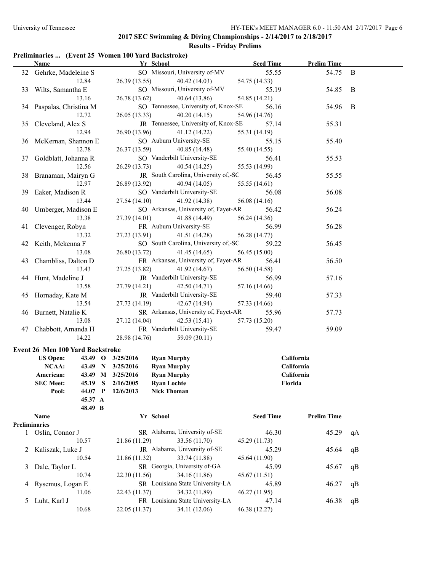## **2017 SEC Swimming & Diving Championships - 2/14/2017 to 2/18/2017**

## **Results - Friday Prelims**

## **Preliminaries ... (Event 25 Women 100 Yard Backstroke)**

|   | <b>Name</b>                      | Yr School                               | <b>Seed Time</b> | <b>Prelim Time</b> |    |
|---|----------------------------------|-----------------------------------------|------------------|--------------------|----|
|   | 32 Gehrke, Madeleine S           | SO Missouri, University of-MV           | 55.55            | 54.75 B            |    |
|   | 12.84                            | 40.42 (14.03)<br>26.39 (13.55)          | 54.75 (14.33)    |                    |    |
|   | 33 Wilts, Samantha E             | SO Missouri, University of-MV           | 55.19            | 54.85              | B  |
|   | 13.16                            | 26.78 (13.62) 40.64 (13.86)             | 54.85 (14.21)    |                    |    |
|   | 34 Paspalas, Christina M         | SO Tennessee, University of, Knox-SE    | 56.16            | 54.96              | B  |
|   | 12.72                            | $26.05(13.33)$ $40.20(14.15)$           | 54.96 (14.76)    |                    |    |
|   | 35 Cleveland, Alex S             | JR Tennessee, University of, Knox-SE    | 57.14            | 55.31              |    |
|   | 12.94                            | 26.90 (13.96)<br>41.12 (14.22)          | 55.31 (14.19)    |                    |    |
|   | 36 McKernan, Shannon E           | SO Auburn University-SE                 | 55.15            | 55.40              |    |
|   | 12.78                            | 26.37 (13.59) 40.85 (14.48)             | 55.40 (14.55)    |                    |    |
|   | 37 Goldblatt, Johanna R          | SO Vanderbilt University-SE             | 56.41            | 55.53              |    |
|   | 12.56                            | 26.29(13.73)<br>40.54(14.25)            | 55.53 (14.99)    |                    |    |
|   | 38 Branaman, Mairyn G            | JR South Carolina, University of,-SC    | 56.45            | 55.55              |    |
|   | 12.97                            | 26.89 (13.92)<br>40.94 (14.05)          | 55.55 (14.61)    |                    |    |
|   | 39 Eaker, Madison R              | SO Vanderbilt University-SE             | 56.08            | 56.08              |    |
|   | 13.44                            | 27.54(14.10)<br>41.92 (14.38)           | 56.08(14.16)     |                    |    |
|   | 40 Umberger, Madison E           | SO Arkansas, University of, Fayet-AR    | 56.42            | 56.24              |    |
|   | 13.38                            | 27.39(14.01)<br>41.88 (14.49)           | 56.24 (14.36)    |                    |    |
|   | 41 Clevenger, Robyn              | FR Auburn University-SE                 | 56.99            | 56.28              |    |
|   | 13.32                            | 27.23 (13.91) 41.51 (14.28)             | 56.28 (14.77)    |                    |    |
|   | 42 Keith, Mckenna F              | SO South Carolina, University of,-SC    | 59.22            | 56.45              |    |
|   | 13.08                            | 26.80 (13.72)<br>41.45(14.65)           | 56.45 (15.00)    |                    |    |
|   | 43 Chambliss, Dalton D           | FR Arkansas, University of, Fayet-AR    | 56.41            | 56.50              |    |
|   | 13.43                            | 27.25 (13.82)<br>41.92 (14.67)          | 56.50 (14.58)    |                    |    |
|   | 44 Hunt, Madeline J              | JR Vanderbilt University-SE             | 56.99            | 57.16              |    |
|   | 13.58                            | 27.79 (14.21) 42.50 (14.71)             | 57.16 (14.66)    |                    |    |
|   |                                  | JR Vanderbilt University-SE             | 59.40            |                    |    |
|   | 45 Hornaday, Kate M              |                                         |                  | 57.33              |    |
|   | 13.54                            | 27.73 (14.19)<br>42.67 (14.94)          | 57.33 (14.66)    |                    |    |
|   | 46 Burnett, Natalie K            | SR Arkansas, University of, Fayet-AR    | 55.96            | 57.73              |    |
|   | 13.08                            | 27.12(14.04)<br>42.53(15.41)            | 57.73 (15.20)    |                    |    |
|   | 47 Chabbott, Amanda H            | FR Vanderbilt University-SE             | 59.47            | 59.09              |    |
|   | 14.22                            | 28.98 (14.76) 59.09 (30.11)             |                  |                    |    |
|   | Event 26 Men 100 Yard Backstroke |                                         |                  |                    |    |
|   | <b>US Open:</b>                  | 43.49 O 3/25/2016<br><b>Ryan Murphy</b> | California       |                    |    |
|   | NCAA:                            | 43.49 N 3/25/2016<br><b>Ryan Murphy</b> | California       |                    |    |
|   | American:                        | 43.49 M 3/25/2016<br><b>Ryan Murphy</b> | California       |                    |    |
|   | <b>SEC Meet:</b>                 | 45.19 S 2/16/2005<br><b>Ryan Lochte</b> | Florida          |                    |    |
|   | Pool:<br>44.07 P                 | 12/6/2013<br><b>Nick Thoman</b>         |                  |                    |    |
|   | 45.37 A                          |                                         |                  |                    |    |
|   | 48.49 B                          |                                         |                  |                    |    |
|   | Name                             | Yr School                               | <b>Seed Time</b> | <b>Prelim Time</b> |    |
|   | <b>Preliminaries</b>             |                                         |                  |                    |    |
|   | 1 Oslin, Connor J                | SR Alabama, University of-SE            | 46.30            | 45.29              | qA |
|   | 10.57                            | 33.56 (11.70)<br>21.86 (11.29)          | 45.29 (11.73)    |                    |    |
| 2 | Kaliszak, Luke J                 | JR Alabama, University of-SE            | 45.29            | 45.64              | qB |
|   | 10.54                            | 21.86 (11.32)<br>33.74 (11.88)          | 45.64 (11.90)    |                    |    |
| 3 | Dale, Taylor L                   | SR Georgia, University of-GA            | 45.99            | 45.67              | qB |
|   | 10.74                            | 34.16 (11.86)<br>22.30 (11.56)          | 45.67 (11.51)    |                    |    |
|   | 4 Rysemus, Logan E               | SR Louisiana State University-LA        | 45.89            | 46.27              | qB |
|   | 11.06                            | 34.32 (11.89)<br>22.43 (11.37)          | 46.27 (11.95)    |                    |    |
| 5 | Luht, Karl J                     | FR Louisiana State University-LA        | 47.14            | 46.38              | qB |
|   | 10.68                            | 22.05 (11.37)<br>34.11 (12.06)          | 46.38 (12.27)    |                    |    |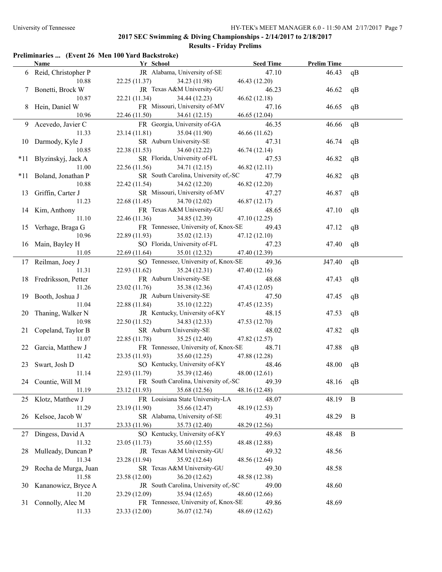## **Preliminaries ... (Event 26 Men 100 Yard Backstroke)**

|    | Name                   | Yr School                                  | <b>Seed Time</b> | <b>Prelim Time</b> |    |
|----|------------------------|--------------------------------------------|------------------|--------------------|----|
|    | 6 Reid, Christopher P  | JR Alabama, University of-SE               | 47.10            | 46.43              | qB |
|    | 10.88                  | 22.25(11.37)<br>34.23 (11.98)              | 46.43 (12.20)    |                    |    |
|    | 7 Bonetti, Brock W     | JR Texas A&M University-GU                 | 46.23            | 46.62              | qB |
|    | 10.87                  | 22.21 (11.34)<br>34.44 (12.23)             | 46.62(12.18)     |                    |    |
|    | 8 Hein, Daniel W       | FR Missouri, University of-MV              | 47.16            | 46.65              | qB |
|    | 10.96                  | 22.46 (11.50)<br>34.61 (12.15)             | 46.65 (12.04)    |                    |    |
|    | 9 Acevedo, Javier C    | FR Georgia, University of-GA               | 46.35            | 46.66              | qB |
|    | 11.33                  | 23.14 (11.81)<br>35.04 (11.90)             | 46.66(11.62)     |                    |    |
|    | 10 Darmody, Kyle J     | SR Auburn University-SE                    | 47.31            | 46.74              | qB |
|    | 10.85                  | 22.38 (11.53)<br>34.60 (12.22)             | 46.74 (12.14)    |                    |    |
|    | *11 Blyzinskyj, Jack A | SR Florida, University of-FL               | 47.53            | 46.82              | qB |
|    | 11.00                  | 22.56 (11.56)<br>34.71 (12.15)             | 46.82 (12.11)    |                    |    |
|    | *11 Boland, Jonathan P | SR South Carolina, University of,-SC       | 47.79            | 46.82              | qB |
|    | 10.88                  | 22.42 (11.54)<br>34.62 (12.20)             | 46.82 (12.20)    |                    |    |
|    |                        | SR Missouri, University of-MV              | 47.27            | 46.87              |    |
|    | 13 Griffin, Carter J   |                                            |                  |                    | qB |
|    | 11.23                  | 22.68 (11.45)<br>34.70 (12.02)             | 46.87 (12.17)    |                    |    |
|    | 14 Kim, Anthony        | FR Texas A&M University-GU                 | 48.65            | 47.10              | qB |
|    | 11.10                  | 22.46 (11.36)<br>34.85 (12.39)             | 47.10 (12.25)    |                    |    |
|    | 15 Verhage, Braga G    | FR Tennessee, University of, Knox-SE       | 49.43            | 47.12              | qB |
|    | 10.96                  | 22.89 (11.93)<br>35.02(12.13)              | 47.12 (12.10)    |                    |    |
|    | 16 Main, Bayley H      | SO Florida, University of-FL               | 47.23            | 47.40              | qB |
|    | 11.05                  | 22.69 (11.64)<br>35.01 (12.32)             | 47.40 (12.39)    |                    |    |
|    | 17 Reilman, Joey J     | SO Tennessee, University of, Knox-SE       | 49.36            | J47.40             | qB |
|    | 11.31                  | 22.93 (11.62)<br>35.24 (12.31)             | 47.40 (12.16)    |                    |    |
|    | 18 Fredriksson, Petter | FR Auburn University-SE                    | 48.68            | 47.43              | qB |
|    | 11.26                  | 23.02 (11.76)<br>35.38 (12.36)             | 47.43 (12.05)    |                    |    |
|    | 19 Booth, Joshua J     | JR Auburn University-SE                    | 47.50            | 47.45              | qB |
|    | 11.04                  | 22.88 (11.84)<br>35.10 (12.22)             | 47.45 (12.35)    |                    |    |
| 20 | Thaning, Walker N      | JR Kentucky, University of-KY              | 48.15            | 47.53              | qB |
|    | 10.98                  | 22.50 (11.52)<br>34.83 (12.33)             | 47.53 (12.70)    |                    |    |
| 21 | Copeland, Taylor B     | SR Auburn University-SE                    | 48.02            | 47.82              | qB |
|    | 11.07                  | 22.85 (11.78)<br>35.25 (12.40)             | 47.82 (12.57)    |                    |    |
| 22 | Garcia, Matthew J      | FR Tennessee, University of, Knox-SE       | 48.71            | 47.88              | qB |
|    | 11.42                  | 23.35 (11.93)<br>35.60 (12.25)             | 47.88 (12.28)    |                    |    |
| 23 | Swart, Josh D          | SO Kentucky, University of-KY              | 48.46            | 48.00              | qB |
|    | 11.14                  | 35.39 (12.46)<br>22.93 (11.79)             | 48.00 (12.61)    |                    |    |
|    | 24 Countie, Will M     | FR South Carolina, University of,-SC 49.39 |                  | 48.16 qB           |    |
|    | 11.19                  | 35.68 (12.56)<br>23.12 (11.93)             | 48.16 (12.48)    |                    |    |
|    | 25 Klotz, Matthew J    | FR Louisiana State University-LA           | 48.07            | 48.19              | B  |
|    | 11.29                  | 23.19 (11.90)<br>35.66 (12.47)             | 48.19 (12.53)    |                    |    |
| 26 | Kelsoe, Jacob W        | SR Alabama, University of-SE               | 49.31            | 48.29              | B  |
|    | 11.37                  | 35.73 (12.40)<br>23.33 (11.96)             | 48.29 (12.56)    |                    |    |
| 27 | Dingess, David A       | SO Kentucky, University of-KY              | 49.63            | 48.48              | B  |
|    | 11.32                  | 35.60 (12.55)<br>23.05 (11.73)             | 48.48 (12.88)    |                    |    |
| 28 | Mulleady, Duncan P     | JR Texas A&M University-GU                 | 49.32            | 48.56              |    |
|    | 11.34                  | 35.92 (12.64)<br>23.28 (11.94)             | 48.56 (12.64)    |                    |    |
| 29 | Rocha de Murga, Juan   | SR Texas A&M University-GU                 | 49.30            | 48.58              |    |
|    | 11.58                  | 36.20 (12.62)<br>23.58 (12.00)             | 48.58 (12.38)    |                    |    |
| 30 | Kananowicz, Bryce A    | JR South Carolina, University of,-SC       | 49.00            | 48.60              |    |
|    | 11.20                  | 35.94 (12.65)<br>23.29 (12.09)             | 48.60 (12.66)    |                    |    |
|    | 31 Connolly, Alec M    | FR Tennessee, University of, Knox-SE       | 49.86            | 48.69              |    |
|    | 11.33                  | 36.07 (12.74)<br>23.33 (12.00)             | 48.69 (12.62)    |                    |    |
|    |                        |                                            |                  |                    |    |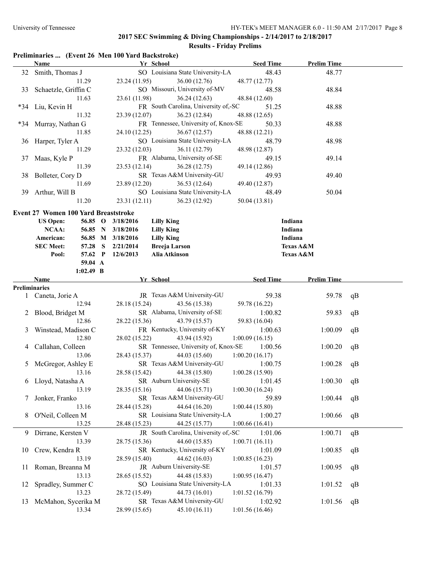## **Preliminaries ... (Event 26 Men 100 Yard Backstroke)**

|    | <b>Name</b>                                 | Yr School                                                   | <b>Seed Time</b>          | <b>Prelim Time</b> |    |
|----|---------------------------------------------|-------------------------------------------------------------|---------------------------|--------------------|----|
|    | 32 Smith, Thomas J                          | SO Louisiana State University-LA                            | 48.43                     | 48.77              |    |
|    | 11.29                                       | 23.24 (11.95)<br>36.00 (12.76)                              | 48.77 (12.77)             |                    |    |
| 33 | Schaetzle, Griffin C                        | SO Missouri, University of-MV                               | 48.58                     | 48.84              |    |
|    | 11.63                                       | 23.61 (11.98)<br>36.24(12.63)                               | 48.84 (12.60)             |                    |    |
|    | *34 Liu, Kevin H                            | FR South Carolina, University of,-SC                        | 51.25                     | 48.88              |    |
|    | 11.32                                       | 23.39 (12.07)<br>36.23(12.84)                               | 48.88 (12.65)             |                    |    |
|    | *34 Murray, Nathan G                        | FR Tennessee, University of, Knox-SE                        | 50.33                     | 48.88              |    |
|    | 11.85                                       | 24.10 (12.25)<br>36.67(12.57)                               | 48.88 (12.21)             |                    |    |
|    | 36 Harper, Tyler A                          | SO Louisiana State University-LA                            | 48.79                     | 48.98              |    |
|    | 11.29                                       | 23.32 (12.03)<br>36.11 (12.79)                              | 48.98 (12.87)             |                    |    |
|    | 37 Maas, Kyle P                             | FR Alabama, University of-SE                                | 49.15                     | 49.14              |    |
|    | 11.39                                       | 23.53(12.14)<br>36.28 (12.75)                               | 49.14 (12.86)             |                    |    |
|    |                                             | SR Texas A&M University-GU                                  |                           |                    |    |
|    | 38 Bolleter, Cory D                         |                                                             | 49.93                     | 49.40              |    |
|    | 11.69                                       | 23.89 (12.20)<br>36.53 (12.64)                              | 49.40 (12.87)             |                    |    |
|    | 39 Arthur, Will B                           | SO Louisiana State University-LA                            | 48.49                     | 50.04              |    |
|    | 11.20                                       | 23.31(12.11)<br>36.23(12.92)                                | 50.04 (13.81)             |                    |    |
|    | <b>Event 27 Women 100 Yard Breaststroke</b> |                                                             |                           |                    |    |
|    | <b>US Open:</b><br>56.85 O                  | 3/18/2016<br><b>Lilly King</b>                              | Indiana                   |                    |    |
|    | NCAA:                                       | 56.85 N 3/18/2016<br><b>Lilly King</b>                      | Indiana                   |                    |    |
|    | American:                                   | 56.85 M 3/18/2016<br><b>Lilly King</b>                      | Indiana                   |                    |    |
|    | <b>SEC Meet:</b><br><sub>S</sub><br>57.28   | <b>Breeja Larson</b><br>2/21/2014                           |                           | Texas A&M          |    |
|    | Pool:                                       | Alia Atkinson<br>57.62 P 12/6/2013                          |                           | Texas A&M          |    |
|    | 59.04 A                                     |                                                             |                           |                    |    |
|    | $1:02.49$ B                                 |                                                             |                           |                    |    |
|    | Name                                        | Yr School                                                   | <b>Seed Time</b>          | <b>Prelim Time</b> |    |
|    | <b>Preliminaries</b>                        |                                                             |                           |                    |    |
|    | 1 Caneta, Jorie A                           | JR Texas A&M University-GU                                  | 59.38                     | 59.78              | qB |
|    | 12.94                                       | 28.18 (15.24)<br>43.56 (15.38)                              | 59.78 (16.22)             |                    |    |
|    | 2 Blood, Bridget M                          | SR Alabama, University of-SE                                | 1:00.82                   | 59.83              | qB |
|    | 12.86                                       | 28.22 (15.36)<br>43.79 (15.57)                              | 59.83 (16.04)             |                    |    |
| 3  | Winstead, Madison C                         | FR Kentucky, University of-KY                               | 1:00.63                   | 1:00.09            | qB |
|    | 12.80                                       | 28.02 (15.22)<br>43.94 (15.92)                              | 1:00.09(16.15)            |                    |    |
| 4  | Callahan, Colleen                           | SR Tennessee, University of, Knox-SE                        | 1:00.56                   | 1:00.20            | qB |
|    | 13.06                                       | 28.43 (15.37)<br>44.03 (15.60)                              | 1:00.20(16.17)            |                    |    |
|    | 5 McGregor, Ashley E                        | SR Texas A&M University-GU                                  | 1:00.75                   | 1:00.28            | qB |
|    | 13.16                                       | 44.38 (15.80)<br>28.58 (15.42)                              | 1:00.28(15.90)            |                    |    |
|    | 6 Lloyd, Natasha A                          | SR Auburn University-SE                                     | 1:01.45                   | 1:00.30            | qB |
|    | 13.19                                       | 44.06 (15.71)<br>28.35 (15.16)                              | 1:00.30(16.24)            |                    |    |
| 7  | Jonker, Franko                              | SR Texas A&M University-GU                                  | 59.89                     | 1:00.44            | qB |
|    | 13.16                                       | 44.64 (16.20)<br>28.44 (15.28)                              | 1:00.44(15.80)            |                    |    |
| 8  | O'Neil, Colleen M                           | SR Louisiana State University-LA                            | 1:00.27                   | 1:00.66            | qB |
|    | 13.25                                       | 28.48 (15.23)<br>44.25 (15.77)                              | 1:00.66(16.41)            |                    |    |
|    |                                             | JR South Carolina, University of,-SC                        |                           |                    |    |
| 9. | Dirrane, Kersten V                          |                                                             | 1:01.06                   | 1:00.71            | qB |
|    | 13.39                                       | 44.60 (15.85)<br>28.75 (15.36)                              | 1:00.71(16.11)            |                    |    |
| 10 | Crew, Kendra R                              | SR Kentucky, University of-KY                               | 1:01.09                   | 1:00.85            | qB |
|    | 13.19                                       | 28.59 (15.40)<br>44.62 (16.03)                              | 1:00.85(16.23)            |                    |    |
| 11 | Roman, Breanna M                            | JR Auburn University-SE                                     | 1:01.57                   | 1:00.95            | qB |
|    | 13.13                                       | 44.48 (15.83)<br>28.65 (15.52)                              | 1:00.95(16.47)            |                    |    |
| 12 |                                             |                                                             |                           |                    | qB |
|    | Spradley, Summer C                          | SO Louisiana State University-LA                            | 1:01.33                   | 1:01.52            |    |
|    | 13.23                                       | 28.72 (15.49)<br>44.73 (16.01)                              | 1:01.52(16.79)            |                    |    |
| 13 | McMahon, Sycerika M<br>13.34                | SR Texas A&M University-GU<br>28.99 (15.65)<br>45.10(16.11) | 1:02.92<br>1:01.56(16.46) | 1:01.56            | qB |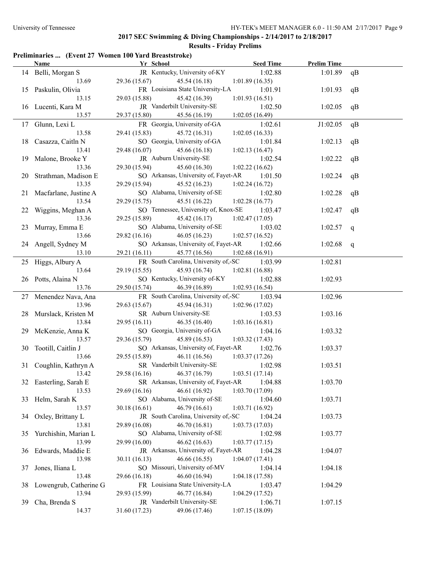# **2017 SEC Swimming & Diving Championships - 2/14/2017 to 2/18/2017**

## **Results - Friday Prelims**

## **Preliminaries ... (Event 27 Women 100 Yard Breaststroke)**

|     | <b>Name</b>              | Yr School                                    | <b>Seed Time</b> | <b>Prelim Time</b> |    |
|-----|--------------------------|----------------------------------------------|------------------|--------------------|----|
|     | 14 Belli, Morgan S       | JR Kentucky, University of-KY                | 1:02.88          | 1:01.89            | qB |
|     | 13.69                    | 29.36 (15.67)<br>45.54 (16.18)               | 1:01.89(16.35)   |                    |    |
|     | 15 Paskulin, Olivia      | FR Louisiana State University-LA             | 1:01.91          | 1:01.93            | qB |
|     | 13.15                    | 29.03 (15.88)<br>45.42 (16.39)               | 1:01.93(16.51)   |                    |    |
|     | 16 Lucenti, Kara M       | JR Vanderbilt University-SE                  | 1:02.50          | 1:02.05            | qB |
|     | 13.57                    | 29.37 (15.80)<br>45.56 (16.19)               | 1:02.05(16.49)   |                    |    |
|     | 17 Glunn, Lexi L         | FR Georgia, University of-GA                 | 1:02.61          | J1:02.05           | qB |
|     | 13.58                    | 29.41 (15.83)<br>45.72 (16.31)               | 1:02.05(16.33)   |                    |    |
| 18  | Casazza, Caitln N        | SO Georgia, University of-GA                 | 1:01.84          | 1:02.13            | qB |
|     | 13.41                    | 29.48 (16.07)<br>45.66 (16.18)               | 1:02.13(16.47)   |                    |    |
| 19  | Malone, Brooke Y         | JR Auburn University-SE                      | 1:02.54          | 1:02.22            | qB |
|     | 13.36                    | 29.30 (15.94)<br>45.60 (16.30)               | 1:02.22(16.62)   |                    |    |
| 20  | Strathman, Madison E     | SO Arkansas, University of, Fayet-AR         | 1:01.50          | 1:02.24            | qB |
|     | 13.35                    | 29.29 (15.94)<br>45.52 (16.23)               | 1:02.24(16.72)   |                    |    |
|     | 21 Macfarlane, Justine A | SO Alabama, University of-SE                 | 1:02.80          | 1:02.28            | qB |
|     | 13.54                    | 29.29 (15.75)<br>45.51 (16.22)               | 1:02.28(16.77)   |                    |    |
|     | 22 Wiggins, Meghan A     | SO Tennessee, University of, Knox-SE         | 1:03.47          | 1:02.47            | qB |
|     | 13.36                    | 29.25 (15.89)<br>45.42 (16.17)               | 1:02.47(17.05)   |                    |    |
|     | 23 Murray, Emma E        | SO Alabama, University of-SE                 | 1:03.02          | 1:02.57            | q  |
|     | 13.66                    | 29.82 (16.16)<br>46.05(16.23)                | 1:02.57(16.52)   |                    |    |
|     | 24 Angell, Sydney M      | SO Arkansas, University of, Fayet-AR         | 1:02.66          | 1:02.68            | q  |
|     | 13.10                    | 29.21 (16.11)<br>45.77 (16.56)               | 1:02.68(16.91)   |                    |    |
|     | 25 Higgs, Albury A       | FR South Carolina, University of,-SC         | 1:03.99          | 1:02.81            |    |
|     | 13.64                    | 29.19 (15.55)<br>45.93 (16.74)               | 1:02.81(16.88)   |                    |    |
|     | 26 Potts, Alaina N       | SO Kentucky, University of-KY                | 1:02.88          | 1:02.93            |    |
|     | 13.76                    | 29.50 (15.74)<br>46.39 (16.89)               | 1:02.93(16.54)   |                    |    |
|     | 27 Menendez Nava, Ana    | FR South Carolina, University of,-SC         | 1:03.94          | 1:02.96            |    |
|     | 13.96                    | 29.63 (15.67)<br>45.94 (16.31)               | 1:02.96(17.02)   |                    |    |
| 28. | Murslack, Kristen M      | SR Auburn University-SE                      | 1:03.53          | 1:03.16            |    |
|     | 13.84                    | 29.95 (16.11)<br>46.35(16.40)                | 1:03.16(16.81)   |                    |    |
| 29. | McKenzie, Anna K         | SO Georgia, University of-GA                 | 1:04.16          | 1:03.32            |    |
|     | 13.57                    | 29.36 (15.79)<br>45.89 (16.53)               | 1:03.32(17.43)   |                    |    |
| 30  | Tootill, Caitlin J       | SO Arkansas, University of, Fayet-AR         | 1:02.76          | 1:03.37            |    |
|     | 13.66                    | 29.55 (15.89)<br>46.11 (16.56)               | 1:03.37(17.26)   |                    |    |
|     | 31 Coughlin, Kathryn A   | SR Vanderbilt University-SE                  | 1:02.98          | 1:03.51            |    |
|     | 13.42                    | 29.58 (16.16)<br>46.37 (16.79)               | 1:03.51(17.14)   |                    |    |
|     | 32 Easterling, Sarah E   | SR Arkansas, University of, Fayet-AR 1:04.88 |                  | 1:03.70            |    |
|     | 13.53                    | 46.61 (16.92)<br>29.69(16.16)                | 1:03.70(17.09)   |                    |    |
|     | 33 Helm, Sarah K         | SO Alabama, University of-SE                 | 1:04.60          | 1:03.71            |    |
|     | 13.57                    | 46.79 (16.61)<br>30.18(16.61)                | 1:03.71 (16.92)  |                    |    |
| 34  | Oxley, Brittany L        | JR South Carolina, University of,-SC         | 1:04.24          | 1:03.73            |    |
|     | 13.81                    | 29.89 (16.08)<br>46.70 (16.81)               | 1:03.73(17.03)   |                    |    |
| 35  | Yurchishin, Marian L     | SO Alabama, University of-SE                 | 1:02.98          | 1:03.77            |    |
|     | 13.99                    | 29.99 (16.00)<br>46.62(16.63)                | 1:03.77(17.15)   |                    |    |
|     | 36 Edwards, Maddie E     | JR Arkansas, University of, Fayet-AR         | 1:04.28          | 1:04.07            |    |
|     | 13.98                    | 30.11(16.13)<br>46.66 (16.55)                | 1:04.07(17.41)   |                    |    |
| 37  | Jones, Iliana L          | SO Missouri, University of-MV                | 1:04.14          | 1:04.18            |    |
|     | 13.48                    | 29.66 (16.18)<br>46.60 (16.94)               | 1:04.18(17.58)   |                    |    |
| 38  | Lowengrub, Catherine G   | FR Louisiana State University-LA             | 1:03.47          | 1:04.29            |    |
|     | 13.94                    | 46.77 (16.84)<br>29.93 (15.99)               | 1:04.29(17.52)   |                    |    |
| 39  | Cha, Brenda S            | JR Vanderbilt University-SE                  | 1:06.71          | 1:07.15            |    |
|     | 14.37                    | 49.06 (17.46)<br>31.60 (17.23)               | 1:07.15(18.09)   |                    |    |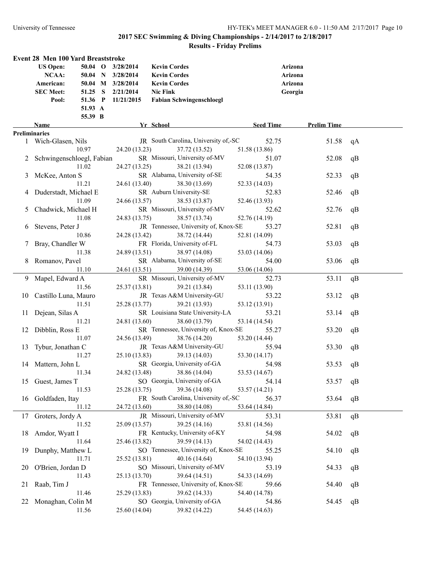|          | Event 28 Men 100 Yard Breaststroke |         |                   |                                      |                  |                    |    |
|----------|------------------------------------|---------|-------------------|--------------------------------------|------------------|--------------------|----|
|          | <b>US Open:</b>                    |         | 50.04 O 3/28/2014 | <b>Kevin Cordes</b>                  | Arizona          |                    |    |
|          | NCAA:                              |         | 50.04 N 3/28/2014 | <b>Kevin Cordes</b>                  | Arizona          |                    |    |
|          | American:                          |         | 50.04 M 3/28/2014 | <b>Kevin Cordes</b>                  | Arizona          |                    |    |
|          | <b>SEC Meet:</b>                   | 51.25 S | 2/21/2014         | <b>Nic Fink</b>                      | Georgia          |                    |    |
|          | Pool:                              | 51.36 P | 11/21/2015        | <b>Fabian Schwingenschloegl</b>      |                  |                    |    |
|          |                                    | 51.93 A |                   |                                      |                  |                    |    |
|          |                                    | 55.39 B |                   |                                      |                  |                    |    |
|          | Name                               |         |                   | Yr School                            | <b>Seed Time</b> | <b>Prelim Time</b> |    |
|          | <b>Preliminaries</b>               |         |                   |                                      |                  |                    |    |
|          | 1 Wich-Glasen, Nils                |         |                   | JR South Carolina, University of,-SC | 52.75            | 51.58              | qA |
|          |                                    | 10.97   | 24.20 (13.23)     | 37.72 (13.52)                        | 51.58 (13.86)    |                    |    |
|          | 2 Schwingenschloegl, Fabian        |         |                   | SR Missouri, University of-MV        | 51.07            | 52.08              | qB |
|          |                                    | 11.02   | 24.27 (13.25)     | 38.21 (13.94)                        | 52.08 (13.87)    |                    |    |
| 3        | McKee, Anton S                     |         |                   | SR Alabama, University of-SE         | 54.35            | 52.33              | qB |
|          |                                    | 11.21   | 24.61 (13.40)     | 38.30 (13.69)                        | 52.33 (14.03)    |                    |    |
|          | Duderstadt, Michael E              |         |                   | SR Auburn University-SE              | 52.83            | 52.46              | qB |
|          |                                    | 11.09   | 24.66 (13.57)     | 38.53 (13.87)                        | 52.46 (13.93)    |                    |    |
| 5        | Chadwick, Michael H                |         |                   | SR Missouri, University of-MV        | 52.62            | 52.76              | qB |
|          |                                    | 11.08   | 24.83 (13.75)     | 38.57 (13.74)                        | 52.76 (14.19)    |                    |    |
|          | Stevens, Peter J                   |         |                   | JR Tennessee, University of, Knox-SE | 53.27            | 52.81              | qB |
| $\sigma$ |                                    | 10.86   | 24.28 (13.42)     | 38.72 (14.44)                        | 52.81 (14.09)    |                    |    |
|          |                                    |         |                   | FR Florida, University of-FL         | 54.73            |                    |    |
|          | Bray, Chandler W                   | 11.38   |                   | 38.97 (14.08)                        |                  | 53.03              | qB |
|          |                                    |         | 24.89 (13.51)     |                                      | 53.03 (14.06)    |                    |    |
| 8.       | Romanov, Pavel                     |         |                   | SR Alabama, University of-SE         | 54.00            | 53.06              | qB |
|          |                                    | 11.10   | 24.61 (13.51)     | 39.00 (14.39)                        | 53.06 (14.06)    |                    |    |
|          | 9 Mapel, Edward A                  |         |                   | SR Missouri, University of-MV        | 52.73            | 53.11              | qB |
|          |                                    | 11.56   | 25.37 (13.81)     | 39.21 (13.84)                        | 53.11 (13.90)    |                    |    |
|          | 10 Castillo Luna, Mauro            |         |                   | JR Texas A&M University-GU           | 53.22            | 53.12              | qB |
|          |                                    | 11.51   | 25.28 (13.77)     | 39.21 (13.93)                        | 53.12 (13.91)    |                    |    |
| 11.      | Dejean, Silas A                    |         |                   | SR Louisiana State University-LA     | 53.21            | 53.14              | qB |
|          |                                    | 11.21   | 24.81 (13.60)     | 38.60 (13.79)                        | 53.14 (14.54)    |                    |    |
| 12       | Dibblin, Ross E                    |         |                   | SR Tennessee, University of, Knox-SE | 55.27            | 53.20              | qB |
|          |                                    | 11.07   | 24.56 (13.49)     | 38.76 (14.20)                        | 53.20 (14.44)    |                    |    |
| 13       | Tybur, Jonathan C                  |         |                   | JR Texas A&M University-GU           | 55.94            | 53.30              | qB |
|          |                                    | 11.27   | 25.10 (13.83)     | 39.13 (14.03)                        | 53.30 (14.17)    |                    |    |
|          | 14 Mattern, John L                 |         |                   | SR Georgia, University of-GA         | 54.98            | 53.53              | qB |
|          |                                    | 11.34   | 24.82 (13.48)     | 38.86 (14.04)                        | 53.53 (14.67)    |                    |    |
|          | 15 Guest, James T                  |         |                   | SO Georgia, University of-GA         | 54.14            | 53.57              | qB |
|          |                                    | 11.53   | 25.28 (13.75)     | 39.36 (14.08)                        | 53.57 (14.21)    |                    |    |
| 16       | Goldfaden, Itay                    |         |                   | FR South Carolina, University of,-SC | 56.37            | 53.64              | qB |
|          |                                    | 11.12   | 24.72 (13.60)     | 38.80 (14.08)                        | 53.64 (14.84)    |                    |    |
| 17       | Groters, Jordy A                   |         |                   | JR Missouri, University of-MV        | 53.31            | 53.81              | qB |
|          |                                    | 11.52   | 25.09 (13.57)     | 39.25 (14.16)                        | 53.81 (14.56)    |                    |    |
| 18       | Amdor, Wyatt I                     |         |                   | FR Kentucky, University of-KY        | 54.98            | 54.02              | qB |
|          |                                    | 11.64   | 25.46 (13.82)     | 39.59 (14.13)                        | 54.02 (14.43)    |                    |    |
| 19       | Dunphy, Matthew L                  |         |                   | SO Tennessee, University of, Knox-SE | 55.25            | 54.10              | qB |
|          |                                    | 11.71   | 25.52 (13.81)     | 40.16 (14.64)                        | 54.10 (13.94)    |                    |    |
| 20       | O'Brien, Jordan D                  |         |                   | SO Missouri, University of-MV        | 53.19            | 54.33              |    |
|          |                                    | 11.43   | 25.13 (13.70)     | 39.64 (14.51)                        | 54.33 (14.69)    |                    | qB |
|          |                                    |         |                   | FR Tennessee, University of, Knox-SE |                  |                    |    |
| 21       | Raab, Tim J                        |         |                   |                                      | 59.66            | 54.40              | qB |
|          |                                    | 11.46   | 25.29 (13.83)     | 39.62 (14.33)                        | 54.40 (14.78)    |                    |    |
| 22       | Monaghan, Colin M                  |         |                   | SO Georgia, University of-GA         | 54.86            | 54.45              | qB |
|          |                                    | 11.56   | 25.60 (14.04)     | 39.82 (14.22)                        | 54.45 (14.63)    |                    |    |